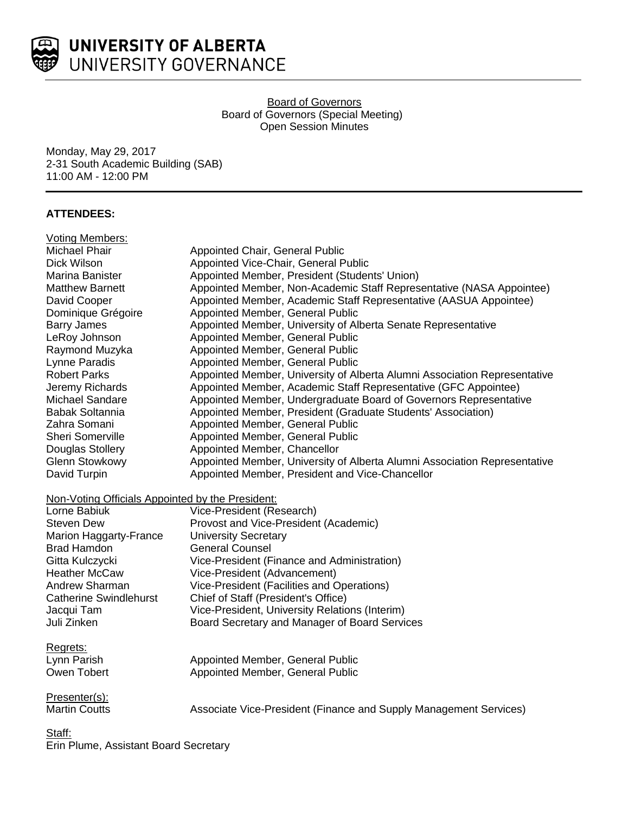

Board of Governors Board of Governors (Special Meeting) Open Session Minutes

Monday, May 29, 2017 2-31 South Academic Building (SAB) 11:00 AM - 12:00 PM

# **ATTENDEES:**

| <b>Voting Members:</b>                           |                                                                           |
|--------------------------------------------------|---------------------------------------------------------------------------|
| <b>Michael Phair</b>                             | Appointed Chair, General Public                                           |
| Dick Wilson                                      | Appointed Vice-Chair, General Public                                      |
| Marina Banister                                  | Appointed Member, President (Students' Union)                             |
| <b>Matthew Barnett</b>                           | Appointed Member, Non-Academic Staff Representative (NASA Appointee)      |
| David Cooper                                     | Appointed Member, Academic Staff Representative (AASUA Appointee)         |
| Dominique Grégoire                               | Appointed Member, General Public                                          |
| <b>Barry James</b>                               | Appointed Member, University of Alberta Senate Representative             |
| LeRoy Johnson                                    | Appointed Member, General Public                                          |
| Raymond Muzyka                                   | Appointed Member, General Public                                          |
| Lynne Paradis                                    | Appointed Member, General Public                                          |
| <b>Robert Parks</b>                              | Appointed Member, University of Alberta Alumni Association Representative |
| Jeremy Richards                                  | Appointed Member, Academic Staff Representative (GFC Appointee)           |
| Michael Sandare                                  | Appointed Member, Undergraduate Board of Governors Representative         |
| Babak Soltannia                                  | Appointed Member, President (Graduate Students' Association)              |
| Zahra Somani                                     | Appointed Member, General Public                                          |
| Sheri Somerville                                 | Appointed Member, General Public                                          |
| Douglas Stollery                                 | Appointed Member, Chancellor                                              |
| <b>Glenn Stowkowy</b>                            | Appointed Member, University of Alberta Alumni Association Representative |
| David Turpin                                     | Appointed Member, President and Vice-Chancellor                           |
|                                                  |                                                                           |
| Non-Voting Officials Appointed by the President: |                                                                           |
| Lorne Babiuk                                     | Vice-President (Research)                                                 |
| <b>Steven Dew</b>                                | Provost and Vice-President (Academic)                                     |
| <b>Marion Haggarty-France</b>                    | <b>University Secretary</b>                                               |
| <b>Brad Hamdon</b>                               | <b>General Counsel</b>                                                    |
| Gitta Kulczycki                                  | Vice-President (Finance and Administration)                               |
| <b>Heather McCaw</b>                             | Vice-President (Advancement)                                              |
| Andrew Sharman                                   | Vice-President (Facilities and Operations)                                |
| <b>Catherine Swindlehurst</b>                    | Chief of Staff (President's Office)                                       |
| Jacqui Tam                                       | Vice-President, University Relations (Interim)                            |
| Juli Zinken                                      | Board Secretary and Manager of Board Services                             |
| Regrets:                                         |                                                                           |
| Lynn Parish                                      | Appointed Member, General Public                                          |
| Owen Tobert                                      | Appointed Member, General Public                                          |
|                                                  |                                                                           |
| Presenter(s):                                    |                                                                           |
| <b>Martin Coutts</b>                             | Associate Vice-President (Finance and Supply Management Services)         |
|                                                  |                                                                           |
| Staff:                                           |                                                                           |

Erin Plume, Assistant Board Secretary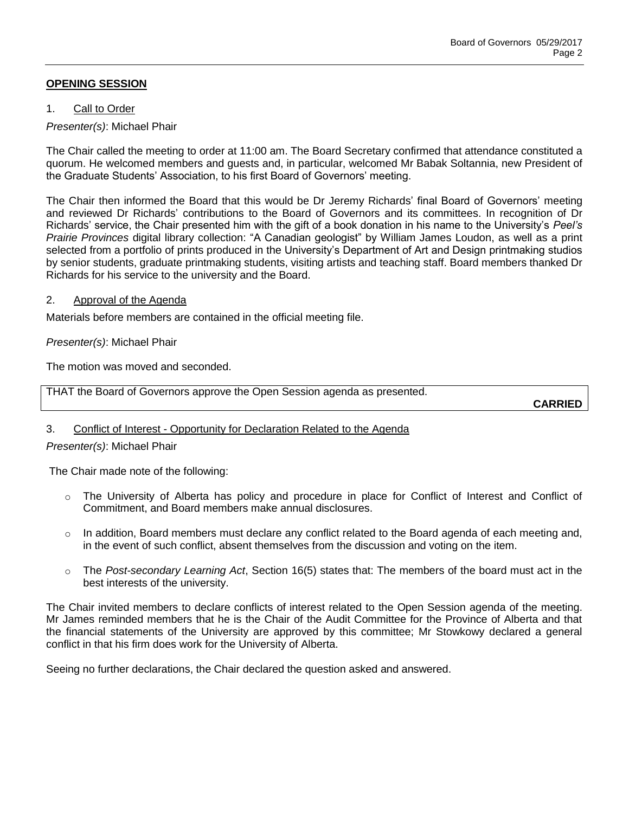# **OPENING SESSION**

## 1. Call to Order

# *Presenter(s)*: Michael Phair

The Chair called the meeting to order at 11:00 am. The Board Secretary confirmed that attendance constituted a quorum. He welcomed members and guests and, in particular, welcomed Mr Babak Soltannia, new President of the Graduate Students' Association, to his first Board of Governors' meeting.

The Chair then informed the Board that this would be Dr Jeremy Richards' final Board of Governors' meeting and reviewed Dr Richards' contributions to the Board of Governors and its committees. In recognition of Dr Richards' service, the Chair presented him with the gift of a book donation in his name to the University's *Peel's Prairie Provinces* digital library collection: "A Canadian geologist" by William James Loudon, as well as a print selected from a portfolio of prints produced in the University's Department of Art and Design printmaking studios by senior students, graduate printmaking students, visiting artists and teaching staff. Board members thanked Dr Richards for his service to the university and the Board.

## 2. Approval of the Agenda

Materials before members are contained in the official meeting file.

## *Presenter(s)*: Michael Phair

The motion was moved and seconded.

THAT the Board of Governors approve the Open Session agenda as presented.

**CARRIED**

# 3. Conflict of Interest - Opportunity for Declaration Related to the Agenda

## *Presenter(s)*: Michael Phair

The Chair made note of the following:

- o The University of Alberta has policy and procedure in place for Conflict of Interest and Conflict of Commitment, and Board members make annual disclosures.
- $\circ$  In addition, Board members must declare any conflict related to the Board agenda of each meeting and, in the event of such conflict, absent themselves from the discussion and voting on the item.
- o The *Post-secondary Learning Act*, Section 16(5) states that: The members of the board must act in the best interests of the university.

The Chair invited members to declare conflicts of interest related to the Open Session agenda of the meeting. Mr James reminded members that he is the Chair of the Audit Committee for the Province of Alberta and that the financial statements of the University are approved by this committee; Mr Stowkowy declared a general conflict in that his firm does work for the University of Alberta.

Seeing no further declarations, the Chair declared the question asked and answered.